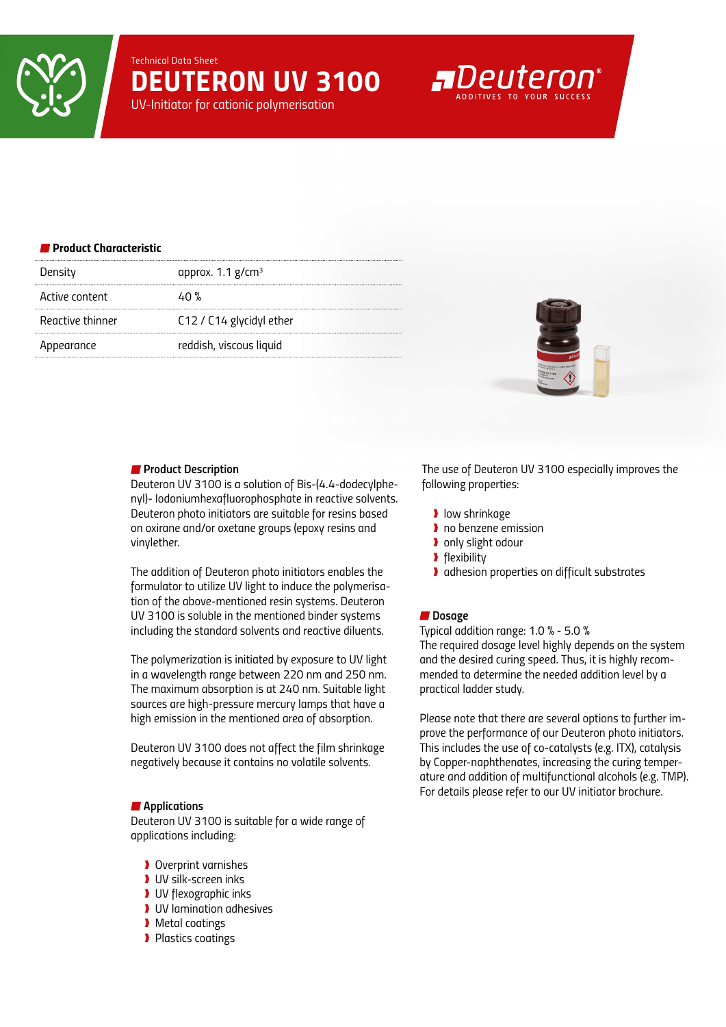*Technical Data Sheet DEUTERON UV 3100*

*UV-Initiator for cationic polymerisation*

# **A**Deuteron

## *Product Characteristic*

| Density          | approx. $1.1$ g/cm <sup>3</sup> |
|------------------|---------------------------------|
| Active content   | 40 %                            |
| Reactive thinner | C12 / C14 glycidyl ether        |
| Appearance       | reddish, viscous liquid         |



#### *Product Description*

*Deuteron UV 3100 is a solution of Bis-(4.4-dodecylphenyl)- Iodoniumhexafluorophosphate in reactive solvents. Deuteron photo initiators are suitable for resins based on oxirane and/or oxetane groups (epoxy resins and vinylether.* 

*The addition of Deuteron photo initiators enables the formulator to utilize UV light to induce the polymerisation of the above-mentioned resin systems. Deuteron UV 3100 is soluble in the mentioned binder systems including the standard solvents and reactive diluents.*

*The polymerization is initiated by exposure to UV light in a wavelength range between 220 nm and 250 nm. The maximum absorption is at 240 nm. Suitable light sources are high-pressure mercury lamps that have a high emission in the mentioned area of absorption.*

*Deuteron UV 3100 does not affect the film shrinkage negatively because it contains no volatile solvents.*

#### *Applications*

*Deuteron UV 3100 is suitable for a wide range of applications including:*

- ❱ *Overprint varnishes*
- ❱ *UV silk-screen inks*
- ❱ *UV flexographic inks*
- ❱ *UV lamination adhesives*
- ❱ *Metal coatings*
- ❱ *Plastics coatings*

*The use of Deuteron UV 3100 especially improves the following properties:*

- ❱ *low shrinkage*
- ❱ *no benzene emission*
- ❱ *only slight odour*
- ❱ *flexibility*
- ❱ *adhesion properties on difficult substrates*

#### ■ Dosage

*Typical addition range: 1.0 % - 5.0 %*

*The required dosage level highly depends on the system and the desired curing speed. Thus, it is highly recommended to determine the needed addition level by a practical ladder study.*

*Please note that there are several options to further improve the performance of our Deuteron photo initiators. This includes the use of co-catalysts (e.g. ITX), catalysis by Copper-naphthenates, increasing the curing temperature and addition of multifunctional alcohols (e.g. TMP). For details please refer to our UV initiator brochure.*